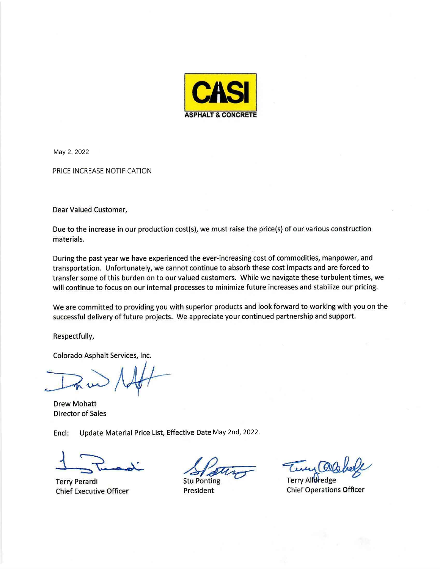

May 2, 2022

PRICE INCREASE NOTIFICATION

Dear Valued Customer,

Due to the increase in our production cost(s), we must raise the price(s) of our various construction materials.

During the past year we have experienced the ever-increasing cost of commodities, manpower, and transportation. Unfortunately, we cannot continue to absorb these cost impacts and are forced to transfer some of this burden on to our valued customers. While we navigate these turbulent times, we will continue to focus on our internal processes to minimize future increases and stabilize our pricing.

We are committed to providing you with superior products and look forward to working with you on the successful delivery of future projects. We appreciate your continued partnership and support.

Respectfully,

Colorado Asphalt Services, Inc.

**Drew Mohatt Director of Sales** 

Update Material Price List, Effective Date May 2nd, 2022. Encl:

**Terry Perardi Chief Executive Officer** 

**Stu Ponting** 

President

**Terry Alldredge Chief Operations Officer**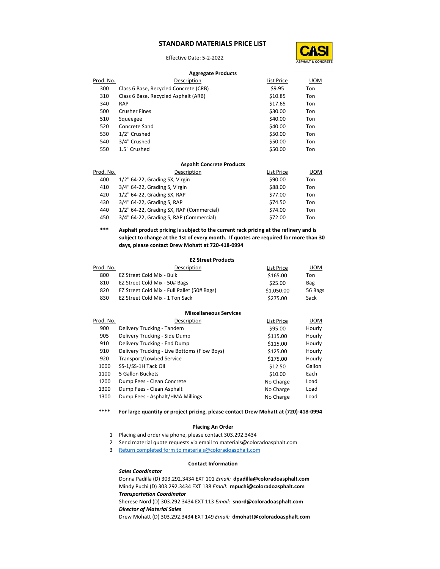## **STANDARD MATERIALS PRICE LIST**

Effective Date: 5-2-2022



#### **Aggregate Products**

| Prod. No. | Description                           | List Price | <b>UOM</b> |
|-----------|---------------------------------------|------------|------------|
| 300       | Class 6 Base, Recycled Concrete (CRB) | \$9.95     | Ton        |
| 310       | Class 6 Base, Recycled Asphalt (ARB)  | \$10.85    | Ton        |
| 340       | <b>RAP</b>                            | \$17.65    | Ton        |
| 500       | <b>Crusher Fines</b>                  | \$30.00    | Ton        |
| 510       | Squeegee                              | \$40.00    | Ton        |
| 520       | Concrete Sand                         | \$40.00    | Ton        |
| 530       | 1/2" Crushed                          | \$50.00    | Ton        |
| 540       | 3/4" Crushed                          | \$50.00    | Ton        |
| 550       | 1.5" Crushed                          | \$50.00    | Ton        |
|           |                                       |            |            |

#### **Aspahlt Concrete Products**

| Prod. No. | Description                              | List Price | UOM |
|-----------|------------------------------------------|------------|-----|
| 400       | 1/2" 64-22, Grading SX, Virgin           | \$90.00    | Ton |
| 410       | 3/4" 64-22, Grading S, Virgin            | \$88.00    | Ton |
| 420       | 1/2" 64-22, Grading SX, RAP              | \$77.00    | Ton |
| 430       | 3/4" 64-22, Grading S, RAP               | \$74.50    | Ton |
| 440       | 1/2" 64-22, Grading SX, RAP (Commercial) | \$74.00    | Ton |
| 450       | 3/4" 64-22, Grading S, RAP (Commercial)  | \$72.00    | Ton |

## **\*\*\* Asphalt product pricing is subject to the current rack pricing at the refinery and is subject to change at the 1st of every month. If quotes are required for more than 30 days, please contact Drew Mohatt at 720-418-0994**

## **EZ Street Products**

| Prod. No. | Description                                 | List Price | <b>UOM</b> |
|-----------|---------------------------------------------|------------|------------|
| 800       | EZ Street Cold Mix - Bulk                   | \$165.00   | Ton        |
| 810       | EZ Street Cold Mix - 50# Bags               | \$25.00    | Bag        |
| 820       | EZ Street Cold Mix - Full Pallet (50# Bags) | \$1,050.00 | 56 Bags    |
| 830       | EZ Street Cold Mix - 1 Ton Sack             | \$275.00   | Sack       |
|           |                                             |            |            |

### **Miscellaneous Services**

| Description                                  | List Price | <b>UOM</b> |
|----------------------------------------------|------------|------------|
| Delivery Trucking - Tandem                   | \$95.00    | Hourly     |
| Delivery Trucking - Side Dump                | \$115.00   | Hourly     |
| Delivery Trucking - End Dump                 | \$115.00   | Hourly     |
| Delivery Trucking - Live Bottoms (Flow Boys) | \$125.00   | Hourly     |
| Transport/Lowbed Service                     | \$175.00   | Hourly     |
| SS-1/SS-1H Tack Oil                          | \$12.50    | Gallon     |
| 5 Gallon Buckets                             | \$10.00    | Each       |
| Dump Fees - Clean Concrete                   | No Charge  | Load       |
| Dump Fees - Clean Asphalt                    | No Charge  | Load       |
| Dump Fees - Asphalt/HMA Millings             | No Charge  | Load       |
|                                              |            |            |

**\*\*\*\* For large quantity or project pricing, please contact Drew Mohatt at (720)-418-0994**

## **Placing An Order**

- 1 Placing and order via phone, please contact 303.292.3434
- 2 Send material quote requests via email to materials@coloradoasphalt.com
- 3 Return completed form to materials@coloradoasphalt.com

#### **Contact Information**

## *Sales Coordinator*

Donna Padilla (D) 303.292.3434 EXT 101 *Email:* **dpadilla@coloradoasphalt.com** Mindy Puchi (D) 303.292.3434 EXT 138 *Email:* **mpuchi@coloradoasphalt.com** *Transportation Coordinator* 

Sherese Nord (D) 303.292.3434 EXT 113 *Email:* **snord@coloradoasphalt.com** *Director of Material Sales* 

Drew Mohatt (D) 303.292.3434 EXT 149 *Email:* **dmohatt@coloradoasphalt.com**